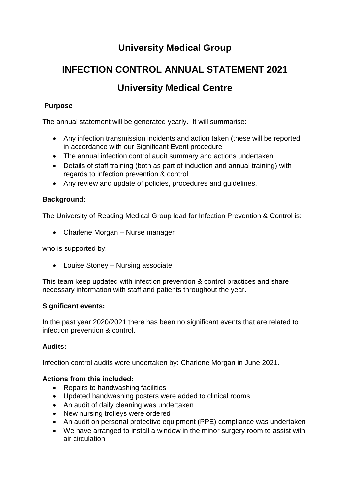# **University Medical Group**

# **INFECTION CONTROL ANNUAL STATEMENT 2021 University Medical Centre**

# **Purpose**

The annual statement will be generated yearly. It will summarise:

- Any infection transmission incidents and action taken (these will be reported in accordance with our Significant Event procedure
- The annual infection control audit summary and actions undertaken
- Details of staff training (both as part of induction and annual training) with regards to infection prevention & control
- Any review and update of policies, procedures and guidelines.

# **Background:**

The University of Reading Medical Group lead for Infection Prevention & Control is:

• Charlene Morgan – Nurse manager

who is supported by:

• Louise Stoney – Nursing associate

This team keep updated with infection prevention & control practices and share necessary information with staff and patients throughout the year.

## **Significant events:**

In the past year 2020/2021 there has been no significant events that are related to infection prevention & control.

# **Audits:**

Infection control audits were undertaken by: Charlene Morgan in June 2021.

## **Actions from this included:**

- Repairs to handwashing facilities
- Updated handwashing posters were added to clinical rooms
- An audit of daily cleaning was undertaken
- New nursing trolleys were ordered
- An audit on personal protective equipment (PPE) compliance was undertaken
- We have arranged to install a window in the minor surgery room to assist with air circulation